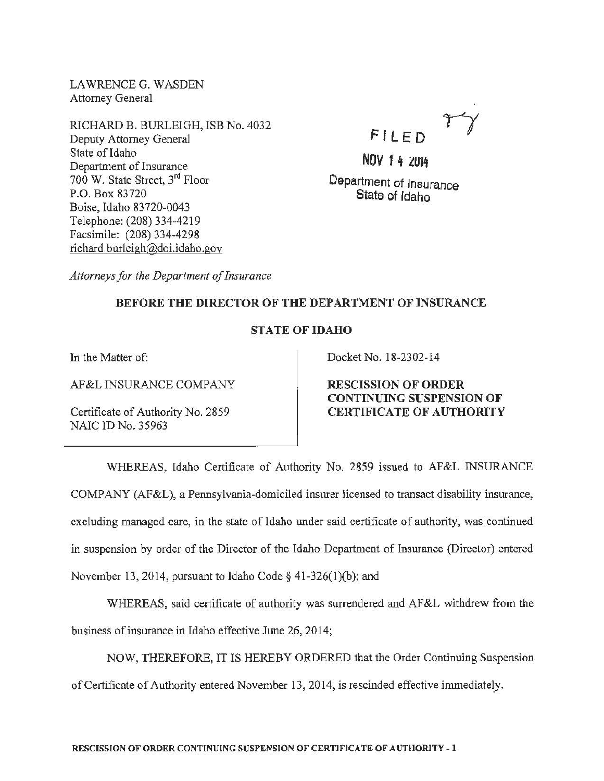LAWRENCEG. WASDEN Attorney General

RICHARD B. BURLEIGH, ISB No. 4032 Deputy Attorney General State of Idaho Department of Insurance 700 W. State Street, 3rd Floor P.O. Box 83720 Boise, Idaho 83720-0043 Telephone: (208) 334-4219 Facsimile: (208) 334-4298 richard.burleigh@doi.idaho.gov



NOV 1 4 2014 Department of Insurance State of Idaho

*Attorneys for the Department of Insurance* 

## BEFORE THE DIRECTOR OF THE DEPARTMENT OF INSURANCE

## STATE OF IDAHO

In the Matter of:

AF &L INSURANCE COMPANY

Certificate of Authority No. 2859 NAIC ID No. 35963

Docket No. 18-2302-14

RESCISSION OF ORDER CONTINUING SUSPENSION OF CERTIFICATE OF AUTHORITY

WHEREAS, Idaho Certificate of Authority No. 2859 issued to AF&L INSURANCE COMPANY (AF&L), a Pennsylvania-domiciled insurer licensed to transact disability insurance, excluding managed care, in the state of Idaho under said certificate of authority, was continued in suspension by order of the Director of the Idaho Department of Insurance (Director) entered November 13, 2014, pursuant to Idaho Code§ 41-326(1)(b); and

WHEREAS, said certificate of authority was surrendered and AF&L withdrew from the business of insurance in Idaho effective June 26, 2014;

NOW, THEREFORE, IT IS HEREBY ORDERED that the Order Continuing Suspension of Certificate of Authority entered November 13, 2014, is rescinded effective immediately.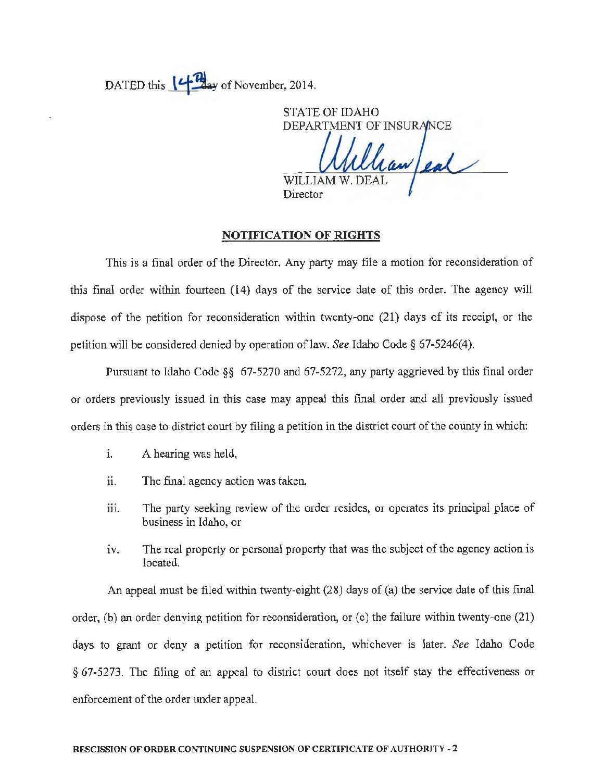DATED this  $\left\{4\right\}$  ay of November, 2014.

STATE OF IDAHO DEPARTMENT OF INSU **WILLIAM** Director

## NOTIFICATION OF RIGHTS

This is a final order of the Director. Any party may file a motion for reconsideration of this final order within fourteen (14) days of the service date of this order. The agency will dispose of the petition for reconsideration within twenty-one (21) days of its receipt, or the petition will be considered denied by operation of law. *See* Idaho Code § 67-5246(4).

Pursuant to Idaho Code §§ 67-5270 and 67-5272, any party aggrieved by this final order or orders previously issued in this case may appeal this final order and all previously issued orders in this case to district court by filing a petition in the district court of the county in which:

- 1. A hearing was held,
- ii. The final agency action was taken,
- iii. The party seeking review of the order resides, or operates its principal place of business in Idaho, or
- iv. The real property or personal property that was the subject of the agency action is located.

An appeal must be filed within twenty-eight (28) days of (a) the service date of this final order, (b) an order denying petition for reconsideration, or (c) the failure within twenty-one (21) days to grant or deny a petition for reconsideration, whichever is later. *See* Idaho Code § 67-5273. The filing of an appeal to district court does not itself stay the effectiveness or enforcement of the order under appeal.